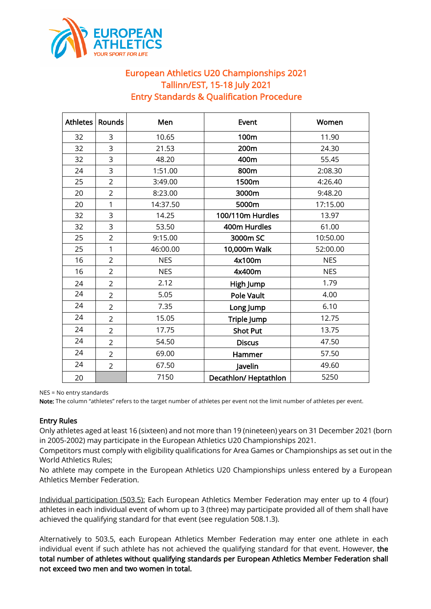

## European Athletics U20 Championships 2021 Tallinn/EST, 15-18 July 2021 Entry Standards & Qualification Procedure

| <b>Athletes</b> | Rounds         | Men        | Event                | Women      |
|-----------------|----------------|------------|----------------------|------------|
| 32              | 3              | 10.65      | 100m                 | 11.90      |
| 32              | 3              | 21.53      | 200m                 | 24.30      |
| 32              | 3              | 48.20      | 400m                 | 55.45      |
| 24              | 3              | 1:51.00    | 800m                 | 2:08.30    |
| 25              | $\overline{2}$ | 3:49.00    | 1500m                | 4:26.40    |
| 20              | $\overline{2}$ | 8:23.00    | 3000m                | 9:48.20    |
| 20              | $\mathbf{1}$   | 14:37.50   | 5000m                | 17:15.00   |
| 32              | 3              | 14.25      | 100/110m Hurdles     | 13.97      |
| 32              | 3              | 53.50      | 400m Hurdles         | 61.00      |
| 25              | $\overline{2}$ | 9:15.00    | 3000m SC             | 10:50.00   |
| 25              | $\mathbf{1}$   | 46:00.00   | 10,000m Walk         | 52:00.00   |
| 16              | $\overline{2}$ | <b>NES</b> | 4x100m               | <b>NES</b> |
| 16              | $\overline{2}$ | <b>NES</b> | 4x400m               | <b>NES</b> |
| 24              | $\overline{2}$ | 2.12       | High Jump            | 1.79       |
| 24              | $\overline{2}$ | 5.05       | <b>Pole Vault</b>    | 4.00       |
| 24              | $\overline{2}$ | 7.35       | Long Jump            | 6.10       |
| 24              | $\overline{2}$ | 15.05      | Triple Jump          | 12.75      |
| 24              | $\overline{2}$ | 17.75      | <b>Shot Put</b>      | 13.75      |
| 24              | $\overline{2}$ | 54.50      | <b>Discus</b>        | 47.50      |
| 24              | $\overline{2}$ | 69.00      | Hammer               | 57.50      |
| 24              | $\overline{2}$ | 67.50      | Javelin              | 49.60      |
| 20              |                | 7150       | Decathlon/Heptathlon | 5250       |

NES = No entry standards

Note: The column "athletes" refers to the target number of athletes per event not the limit number of athletes per event.

## Entry Rules

Only athletes aged at least 16 (sixteen) and not more than 19 (nineteen) years on 31 December 2021 (born in 2005-2002) may participate in the European Athletics U20 Championships 2021.

Competitors must comply with eligibility qualifications for Area Games or Championships as set out in the World Athletics Rules;

No athlete may compete in the European Athletics U20 Championships unless entered by a European Athletics Member Federation.

Individual participation (503.5): Each European Athletics Member Federation may enter up to 4 (four) athletes in each individual event of whom up to 3 (three) may participate provided all of them shall have achieved the qualifying standard for that event (see regulation 508.1.3).

Alternatively to 503.5, each European Athletics Member Federation may enter one athlete in each individual event if such athlete has not achieved the qualifying standard for that event. However, the total number of athletes without qualifying standards per European Athletics Member Federation shall not exceed two men and two women in total.